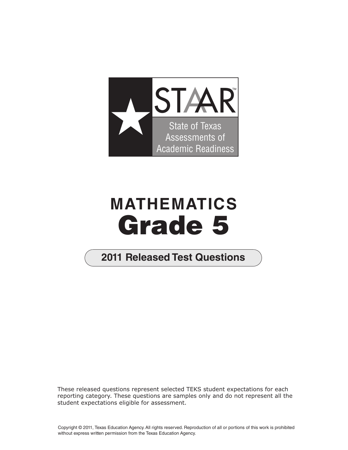

## **MATHEMATICS Grade 5**

## **2011 Released Test Questions**

These released questions represent selected TEKS student expectations for each reporting category. These questions are samples only and do not represent all the student expectations eligible for assessment.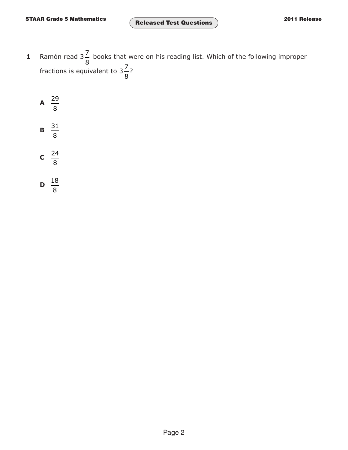**1** Ramón read  $3\frac{7}{8}$  books that were on his reading list. Which of the following improper 8<br>**fractions is equivalent to 3** $\frac{7}{5}$ ? ...?<br>8

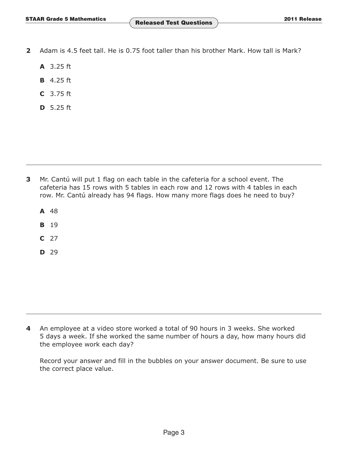- **2** Adam is 4.5 feet tall. He is 0.75 foot taller than his brother Mark. How tall is Mark?
	- **A** 3.25 ft
	- **B** 4.25 ft
	- **C** 3.75 ft
	- **D** 5.25 ft

- **3** Mr. Cantú will put 1 flag on each table in the cafeteria for a school event. The cafeteria has 15 rows with 5 tables in each row and 12 rows with 4 tables in each row. Mr. Cantú already has 94 flags. How many more flags does he need to buy?
	- **A** 48
	- **B** 19
	- **C** 27
	- **D** 29

**4** An employee at a video store worked a total of 90 hours in 3 weeks. She worked 5 days a week. If she worked the same number of hours a day, how many hours did the employee work each day?

Record your answer and fill in the bubbles on your answer document. Be sure to use the correct place value.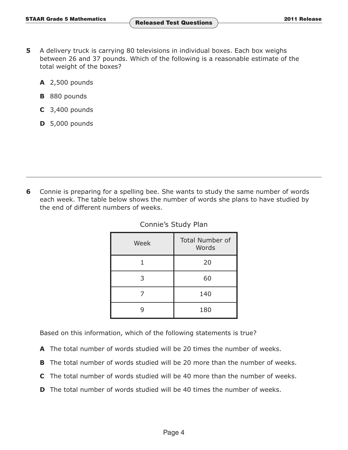- **5** A delivery truck is carrying 80 televisions in individual boxes. Each box weighs between 26 and 37 pounds. Which of the following is a reasonable estimate of the total weight of the boxes?
	- **A** 2,500 pounds
	- **B** 880 pounds
	- **C** 3,400 pounds
	- **D** 5,000 pounds

**6** Connie is preparing for a spelling bee. She wants to study the same number of words each week. The table below shows the number of words she plans to have studied by the end of different numbers of weeks.

| Week | <b>Total Number of</b><br>Words |  |
|------|---------------------------------|--|
|      | 20                              |  |
| 3    | 60                              |  |
|      | 140                             |  |
|      | 180                             |  |

Connie's Study Plan

Based on this information, which of the following statements is true?

- **A** The total number of words studied will be 20 times the number of weeks.
- **B** The total number of words studied will be 20 more than the number of weeks.
- **C** The total number of words studied will be 40 more than the number of weeks.
- **D** The total number of words studied will be 40 times the number of weeks.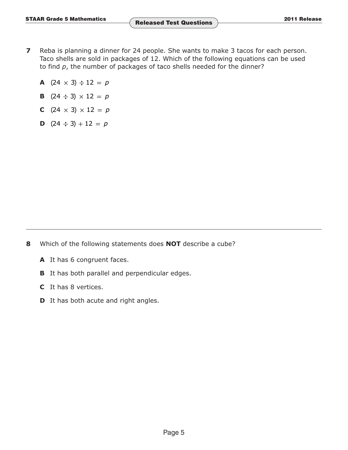- **7** Reba is planning a dinner for 24 people. She wants to make 3 tacos for each person. Taco shells are sold in packages of 12. Which of the following equations can be used to find *p*, the number of packages of taco shells needed for the dinner?
	- **A**  $(24 \times 3) \div 12 = p$
	- **B**  $(24 \div 3) \times 12 = p$
	- **C**  $(24 \times 3) \times 12 = p$
	- **D**  $(24 \div 3) + 12 = p$

- **8** Which of the following statements does **NOT** describe a cube?
	- **A** It has 6 congruent faces.
	- **B** It has both parallel and perpendicular edges.
	- **C** It has 8 vertices.
	- **D** It has both acute and right angles.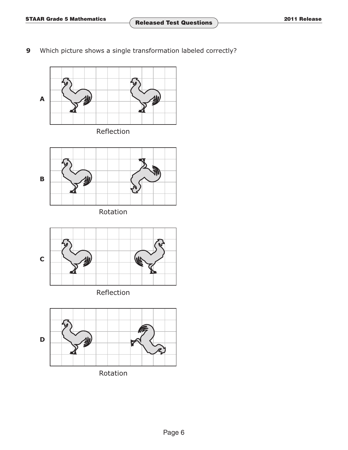**9** Which picture shows a single transformation labeled correctly?

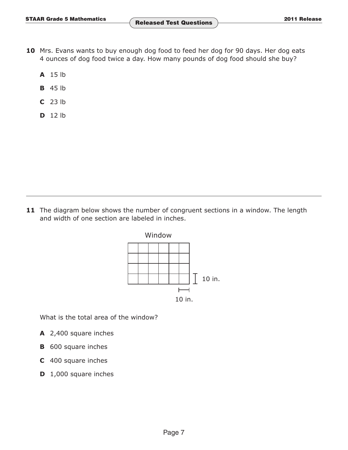- **10** Mrs. Evans wants to buy enough dog food to feed her dog for 90 days. Her dog eats 4 ounces of dog food twice a day. How many pounds of dog food should she buy?
	- **A** 15 lb
	- **B** 45 lb
	- **C** 23 lb
	- **D** 12 lb

**11** The diagram below shows the number of congruent sections in a window. The length and width of one section are labeled in inches.



What is the total area of the window?

- **A** 2,400 square inches
- **B** 600 square inches
- **C** 400 square inches
- **D** 1,000 square inches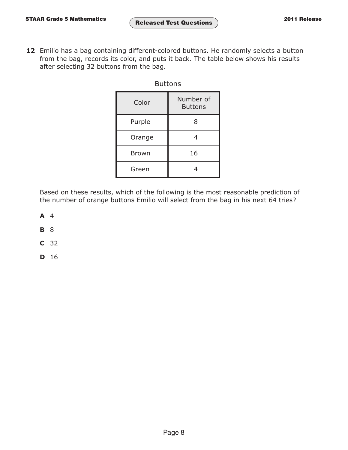12 Emilio has a bag containing different-colored buttons. He randomly selects a button from the bag, records its color, and puts it back. The table below shows his results after selecting 32 buttons from the bag.

| <b>Buttons</b> |
|----------------|
|----------------|

| Color        | Number of<br><b>Buttons</b> |  |
|--------------|-----------------------------|--|
| Purple       | 8                           |  |
| Orange       |                             |  |
| <b>Brown</b> | 16                          |  |
| Green        |                             |  |

Based on these results, which of the following is the most reasonable prediction of the number of orange buttons Emilio will select from the bag in his next 64 tries?

**A** 4

**B** 8

**C** 32

**D** 16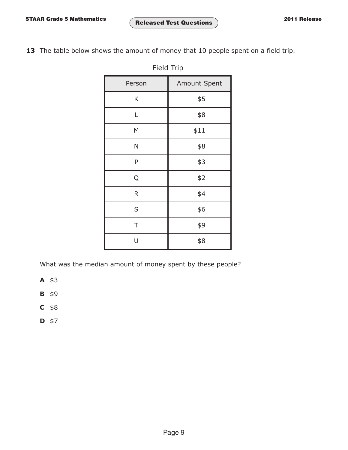13 The table below shows the amount of money that 10 people spent on a field trip.

| Field Trip |              |  |  |  |
|------------|--------------|--|--|--|
| Person     | Amount Spent |  |  |  |
| Κ          | \$5          |  |  |  |
| Г          | \$8          |  |  |  |
| M          | \$11         |  |  |  |
| N          | \$8          |  |  |  |
| P          | \$3          |  |  |  |
| Q          | \$2          |  |  |  |
| R          | \$4          |  |  |  |
| S          | \$6          |  |  |  |
| T          | \$9          |  |  |  |
| U          | \$8          |  |  |  |

Field Trip

What was the median amount of money spent by these people?

- **A** \$3
- **B** \$9
- **C** \$8
- **D** \$7